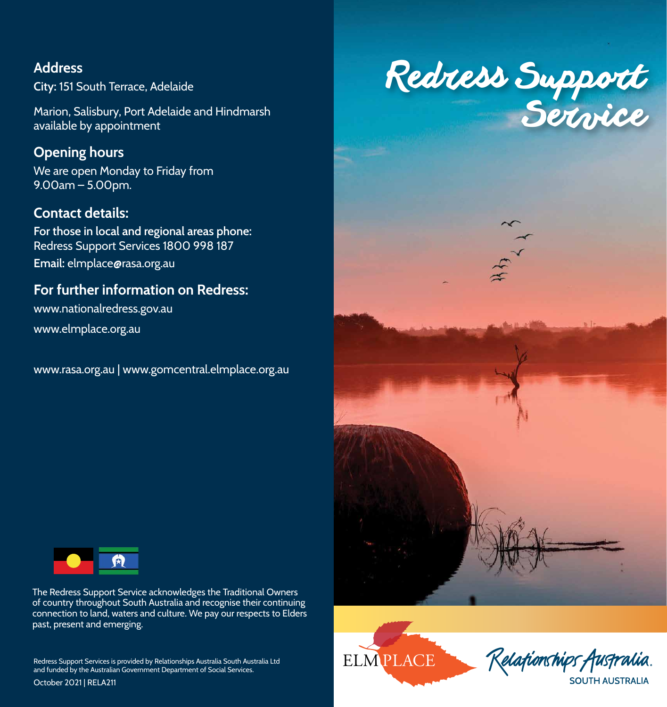# **Address**

**City:** 151 South Terrace, Adelaide

Marion, Salisbury, Port Adelaide and Hindmarsh available by appointment

## **Opening hours**

We are open Monday to Friday from 9.00am – 5.00pm.

## **Contact details:**

**For those in local and regional areas phone:** Redress Support Services 1800 998 187 **Email:** elmplace@rasa.org.au

## **For further information on Redress:**

www.nationalredress.gov.au

www.elmplace.org.au

www.rasa.org.au | www.gomcentral.elmplace.org.au



The Redress Support Service acknowledges the Traditional Owners of country throughout South Australia and recognise their continuing connection to land, waters and culture. We pay our respects to Elders past, present and emerging.

Redress Support Services is provided by Relationships Australia South Australia Ltd and funded by the Australian Government Department of Social Services.

October 2021 | RELA211